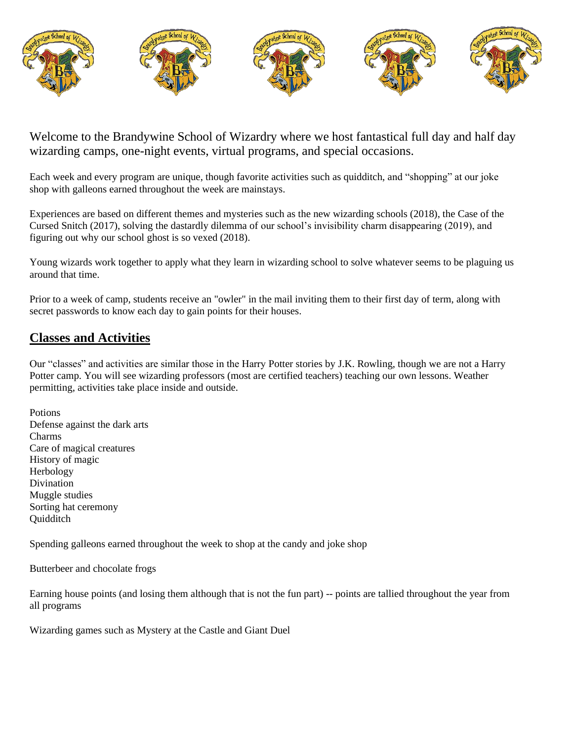

Welcome to the Brandywine School of Wizardry where we host fantastical full day and half day wizarding camps, one-night events, virtual programs, and special occasions.

Each week and every program are unique, though favorite activities such as quidditch, and "shopping" at our joke shop with galleons earned throughout the week are mainstays.

Experiences are based on different themes and mysteries such as the new wizarding schools (2018), the Case of the Cursed Snitch (2017), solving the dastardly dilemma of our school's invisibility charm disappearing (2019), and figuring out why our school ghost is so vexed (2018).

Young wizards work together to apply what they learn in wizarding school to solve whatever seems to be plaguing us around that time.

Prior to a week of camp, students receive an "owler" in the mail inviting them to their first day of term, along with secret passwords to know each day to gain points for their houses.

## **Classes and Activities**

Our "classes" and activities are similar those in the Harry Potter stories by J.K. Rowling, though we are not a Harry Potter camp. You will see wizarding professors (most are certified teachers) teaching our own lessons. Weather permitting, activities take place inside and outside.

Potions Defense against the dark arts Charms Care of magical creatures History of magic Herbology Divination Muggle studies Sorting hat ceremony **Ouidditch** 

Spending galleons earned throughout the week to shop at the candy and joke shop

Butterbeer and chocolate frogs

Earning house points (and losing them although that is not the fun part) -- points are tallied throughout the year from all programs

Wizarding games such as Mystery at the Castle and Giant Duel